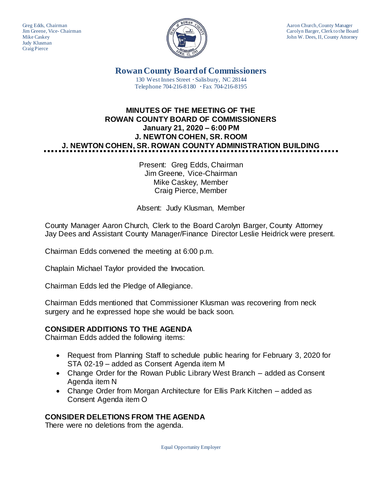Judy Klusman Craig Pierce



Greg Edds, Chairman Aaron Church, County Manager<br>Jim Greene, Vice-Chairman Aaron Church, County Manager and Aaron Church, County Manager Jim Greene, Vice- Chairman Carolyn Barger, Clerk to the Board Mike Caskev John W. Dees, II, County Attorney John W. Dees, II, County Attorney

> **Rowan County Board of Commissioners** 130 West Innes Street **∙** Salisbury, NC 28144 Telephone 704-216-8180 **∙** Fax 704-216-8195

# **MINUTES OF THE MEETING OF THE ROWAN COUNTY BOARD OF COMMISSIONERS January 21, 2020 – 6:00 PM J. NEWTON COHEN, SR. ROOM J. NEWTON COHEN, SR. ROWAN COUNTY ADMINISTRATION BUILDING**

Present: Greg Edds, Chairman Jim Greene, Vice-Chairman Mike Caskey, Member Craig Pierce, Member

Absent: Judy Klusman, Member

County Manager Aaron Church, Clerk to the Board Carolyn Barger, County Attorney Jay Dees and Assistant County Manager/Finance Director Leslie Heidrick were present.

Chairman Edds convened the meeting at 6:00 p.m.

Chaplain Michael Taylor provided the Invocation.

Chairman Edds led the Pledge of Allegiance.

Chairman Edds mentioned that Commissioner Klusman was recovering from neck surgery and he expressed hope she would be back soon.

#### **CONSIDER ADDITIONS TO THE AGENDA**

Chairman Edds added the following items:

- Request from Planning Staff to schedule public hearing for February 3, 2020 for STA 02-19 – added as Consent Agenda item M
- Change Order for the Rowan Public Library West Branch added as Consent Agenda item N
- Change Order from Morgan Architecture for Ellis Park Kitchen added as Consent Agenda item O

#### **CONSIDER DELETIONS FROM THE AGENDA**

There were no deletions from the agenda.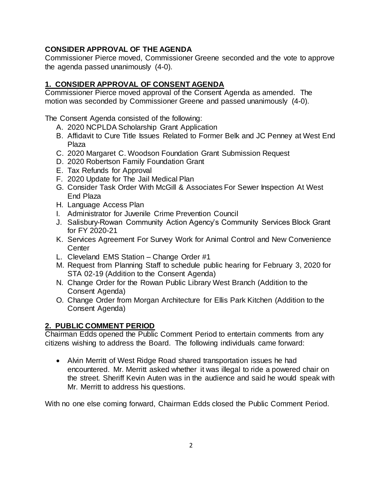## **CONSIDER APPROVAL OF THE AGENDA**

Commissioner Pierce moved, Commissioner Greene seconded and the vote to approve the agenda passed unanimously (4-0).

## **1. CONSIDER APPROVAL OF CONSENT AGENDA**

Commissioner Pierce moved approval of the Consent Agenda as amended. The motion was seconded by Commissioner Greene and passed unanimously (4-0).

The Consent Agenda consisted of the following:

- A. 2020 NCPLDA Scholarship Grant Application
- B. Affidavit to Cure Title Issues Related to Former Belk and JC Penney at West End Plaza
- C. 2020 Margaret C. Woodson Foundation Grant Submission Request
- D. 2020 Robertson Family Foundation Grant
- E. Tax Refunds for Approval
- F. 2020 Update for The Jail Medical Plan
- G. Consider Task Order With McGill & Associates For Sewer Inspection At West End Plaza
- H. Language Access Plan
- I. Administrator for Juvenile Crime Prevention Council
- J. Salisbury-Rowan Community Action Agency's Community Services Block Grant for FY 2020-21
- K. Services Agreement For Survey Work for Animal Control and New Convenience **Center**
- L. Cleveland EMS Station Change Order #1
- M. Request from Planning Staff to schedule public hearing for February 3, 2020 for STA 02-19 (Addition to the Consent Agenda)
- N. Change Order for the Rowan Public Library West Branch (Addition to the Consent Agenda)
- O. Change Order from Morgan Architecture for Ellis Park Kitchen (Addition to the Consent Agenda)

## **2. PUBLIC COMMENT PERIOD**

Chairman Edds opened the Public Comment Period to entertain comments from any citizens wishing to address the Board. The following individuals came forward:

• Alvin Merritt of West Ridge Road shared transportation issues he had encountered. Mr. Merritt asked whether it was illegal to ride a powered chair on the street. Sheriff Kevin Auten was in the audience and said he would speak with Mr. Merritt to address his questions.

With no one else coming forward, Chairman Edds closed the Public Comment Period.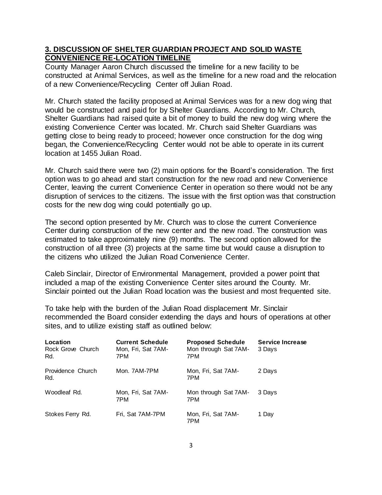#### **3. DISCUSSION OF SHELTER GUARDIAN PROJECT AND SOLID WASTE CONVENIENCE RE-LOCATION TIMELINE**

County Manager Aaron Church discussed the timeline for a new facility to be constructed at Animal Services, as well as the timeline for a new road and the relocation of a new Convenience/Recycling Center off Julian Road.

Mr. Church stated the facility proposed at Animal Services was for a new dog wing that would be constructed and paid for by Shelter Guardians. According to Mr. Church, Shelter Guardians had raised quite a bit of money to build the new dog wing where the existing Convenience Center was located. Mr. Church said Shelter Guardians was getting close to being ready to proceed; however once construction for the dog wing began, the Convenience/Recycling Center would not be able to operate in its current location at 1455 Julian Road.

Mr. Church said there were two (2) main options for the Board's consideration. The first option was to go ahead and start construction for the new road and new Convenience Center, leaving the current Convenience Center in operation so there would not be any disruption of services to the citizens. The issue with the first option was that construction costs for the new dog wing could potentially go up.

The second option presented by Mr. Church was to close the current Convenience Center during construction of the new center and the new road. The construction was estimated to take approximately nine (9) months. The second option allowed for the construction of all three (3) projects at the same time but would cause a disruption to the citizens who utilized the Julian Road Convenience Center.

Caleb Sinclair, Director of Environmental Management, provided a power point that included a map of the existing Convenience Center sites around the County. Mr. Sinclair pointed out the Julian Road location was the busiest and most frequented site.

To take help with the burden of the Julian Road displacement Mr. Sinclair recommended the Board consider extending the days and hours of operations at other sites, and to utilize existing staff as outlined below:

| Location<br>Rock Grove Church<br>Rd. | <b>Current Schedule</b><br>Mon, Fri, Sat 7AM-<br>7PM | <b>Proposed Schedule</b><br>Mon through Sat 7AM-<br>7PM | <b>Service Increase</b><br>3 Days |
|--------------------------------------|------------------------------------------------------|---------------------------------------------------------|-----------------------------------|
| Providence Church<br>Rd.             | Mon. 7AM-7PM                                         | Mon, Fri, Sat 7AM-<br>7PM                               | 2 Days                            |
| Woodleaf Rd.                         | Mon, Fri, Sat 7AM-<br>7PM                            | Mon through Sat 7AM-<br>7PM                             | 3 Davs                            |
| Stokes Ferry Rd.                     | Fri, Sat 7AM-7PM                                     | Mon, Fri, Sat 7AM-<br>7PM                               | 1 Day                             |